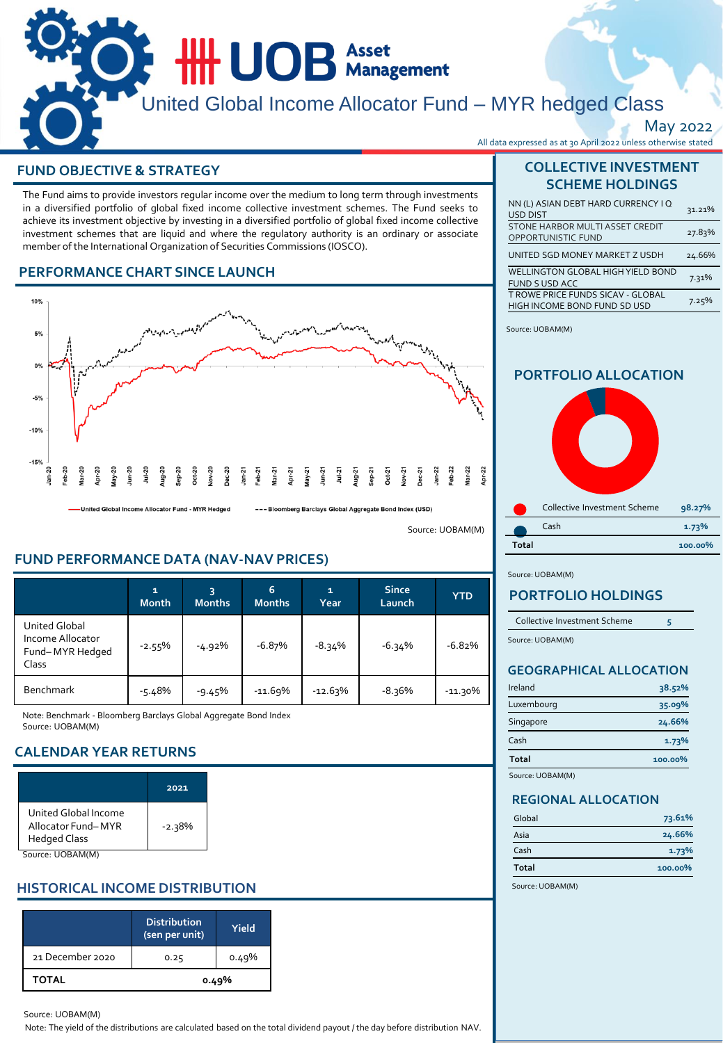# **HILLOB** Asset United Global Income Allocator Fund – MYR hedged Class May 2022 All data expressed as at 30 April 2022 unless otherwise stated

## **FUND OBJECTIVE & STRATEGY**

The Fund aims to provide investors regular income over the medium to long term through investments in a diversified portfolio of global fixed income collective investment schemes. The Fund seeks to achieve its investment objective by investing in a diversified portfolio of global fixed income collective investment schemes that are liquid and where the regulatory authority is an ordinary or associate member of the International Organization of Securities Commissions (IOSCO).

## **PERFORMANCE CHART SINCE LAUNCH**



-United Global Income Allocator Fund - MYR Hedged

--- Bloomberg Barclays Global Aggregate Bond Index (USD)

Source: UOBAM(M)

## **FUND PERFORMANCE DATA (NAV-NAV PRICES)**

|                                                               | $\mathbf{1}$<br><b>Month</b> | 3<br><b>Months</b> | 6<br><b>Months</b> | $\mathbf{1}$<br>Year | <b>Since</b><br>Launch | <b>YTD</b> |
|---------------------------------------------------------------|------------------------------|--------------------|--------------------|----------------------|------------------------|------------|
| United Global<br>Income Allocator<br>Fund-MYR Hedged<br>Class | $-2.55%$                     | $-4.92%$           | $-6.87%$           | $-8.34%$             | $-6.34%$               | $-6.82%$   |
| <b>Benchmark</b>                                              | $-5.48%$                     | $-9.45%$           | $-11.69%$          | $-12.63%$            | $-8.36%$               | $-11.30%$  |

Note: Benchmark - Bloomberg Barclays Global Aggregate Bond Index Source: UOBAM(M)

## **CALENDAR YEAR RETURNS**

|                                                                   | 2021     |
|-------------------------------------------------------------------|----------|
| United Global Income<br>Allocator Fund-MYR<br><b>Hedged Class</b> | $-2.38%$ |
| Source: UOBAM(M)                                                  |          |

## **HISTORICAL INCOME DISTRIBUTION**

|                  | <b>Distribution</b><br>(sen per unit) | Yield |
|------------------|---------------------------------------|-------|
| 21 December 2020 | 0.25                                  | 0.49% |
| <b>TOTAL</b>     |                                       | 0.49% |

#### Source: UOBAM(M)

Note: The yield of the distributions are calculated based on the total dividend payout / the day before distribution NAV.

## **COLLECTIVE INVESTMENT SCHEME HOLDINGS**

| NN (L) ASIAN DEBT HARD CURRENCY I Q<br><b>USD DIST</b>            | 31.21% |
|-------------------------------------------------------------------|--------|
| STONE HARBOR MULTI ASSET CREDIT<br>OPPORTUNISTIC FUND             | 27.83% |
| UNITED SGD MONEY MARKET Z USDH                                    | 24.66% |
| WELLINGTON GLOBAL HIGH YIELD BOND<br><b>FUND S USD ACC</b>        | 7.31%  |
| T ROWE PRICE FUNDS SICAV - GLOBAL<br>HIGH INCOME BOND FUND SD USD | 7.25%  |

Source: UOBAM(M)

## **PORTFOLIO ALLOCATION**



Source: UOBAM(M)

## **PORTFOLIO HOLDINGS**

| Collective Investment Scheme |  |
|------------------------------|--|
| Source: UOBAM(M)             |  |

## **GEOGRAPHICAL ALLOCATION**

| Ireland          | 38.52%  |
|------------------|---------|
| Luxembourg       | 35.09%  |
| Singapore        | 24.66%  |
| Cash             | 1.73%   |
| Total            | 100.00% |
| Source: UOBAM(M) |         |

#### **REGIONAL ALLOCATION**

| Global | 73.61%  |
|--------|---------|
| Asia   | 24.66%  |
| Cash   | 1.73%   |
| Total  | 100.00% |

Source: UOBAM(M)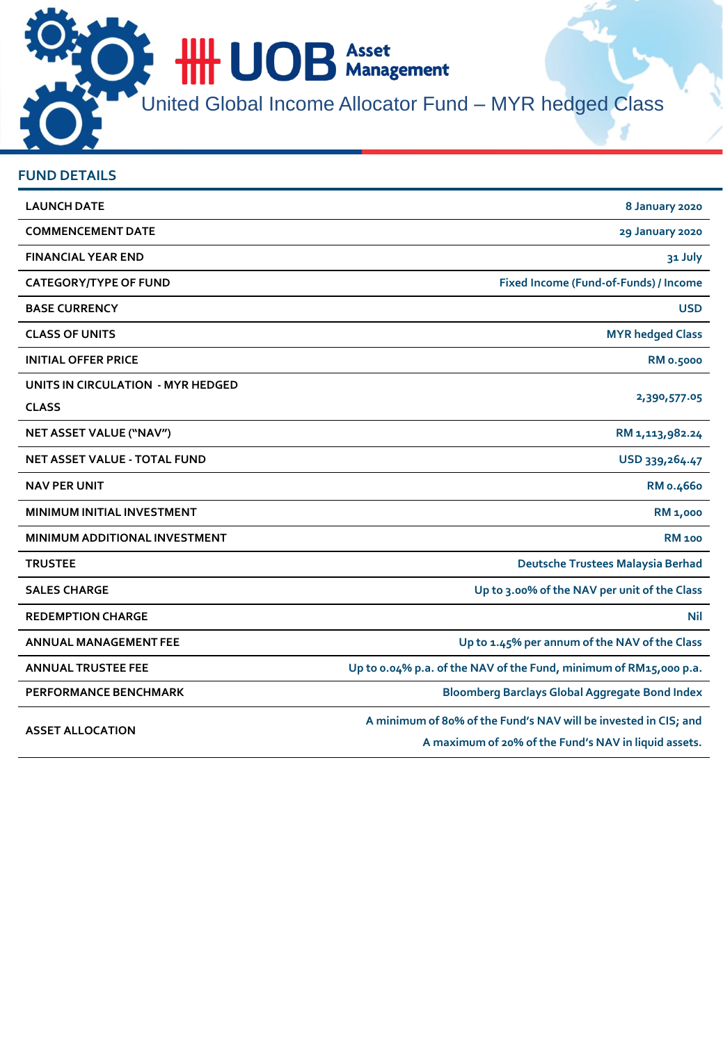**HILLOB** Asset

United Global Income Allocator Fund – MYR hedged Class

| <b>FUND DETAILS</b>                  |                                                                                                                         |
|--------------------------------------|-------------------------------------------------------------------------------------------------------------------------|
| <b>LAUNCH DATE</b>                   | 8 January 2020                                                                                                          |
| <b>COMMENCEMENT DATE</b>             | 29 January 2020                                                                                                         |
| <b>FINANCIAL YEAR END</b>            | 31 July                                                                                                                 |
| <b>CATEGORY/TYPE OF FUND</b>         | Fixed Income (Fund-of-Funds) / Income                                                                                   |
| <b>BASE CURRENCY</b>                 | <b>USD</b>                                                                                                              |
| <b>CLASS OF UNITS</b>                | <b>MYR</b> hedged Class                                                                                                 |
| <b>INITIAL OFFER PRICE</b>           | <b>RM 0.5000</b>                                                                                                        |
| UNITS IN CIRCULATION - MYR HEDGED    | 2,390,577.05                                                                                                            |
| <b>CLASS</b>                         |                                                                                                                         |
| NET ASSET VALUE ("NAV")              | RM 1, 113, 982.24                                                                                                       |
| <b>NET ASSET VALUE - TOTAL FUND</b>  | USD 339, 264.47                                                                                                         |
| <b>NAV PER UNIT</b>                  | RM 0.4660                                                                                                               |
| MINIMUM INITIAL INVESTMENT           | <b>RM 1,000</b>                                                                                                         |
| <b>MINIMUM ADDITIONAL INVESTMENT</b> | <b>RM 100</b>                                                                                                           |
| <b>TRUSTEE</b>                       | Deutsche Trustees Malaysia Berhad                                                                                       |
| <b>SALES CHARGE</b>                  | Up to 3.00% of the NAV per unit of the Class                                                                            |
| <b>REDEMPTION CHARGE</b>             | Nil                                                                                                                     |
| <b>ANNUAL MANAGEMENT FEE</b>         | Up to 1.45% per annum of the NAV of the Class                                                                           |
| <b>ANNUAL TRUSTEE FEE</b>            | Up to 0.04% p.a. of the NAV of the Fund, minimum of RM15,000 p.a.                                                       |
| <b>PERFORMANCE BENCHMARK</b>         | <b>Bloomberg Barclays Global Aggregate Bond Index</b>                                                                   |
| <b>ASSET ALLOCATION</b>              | A minimum of 80% of the Fund's NAV will be invested in CIS; and<br>A maximum of 20% of the Fund's NAV in liquid assets. |